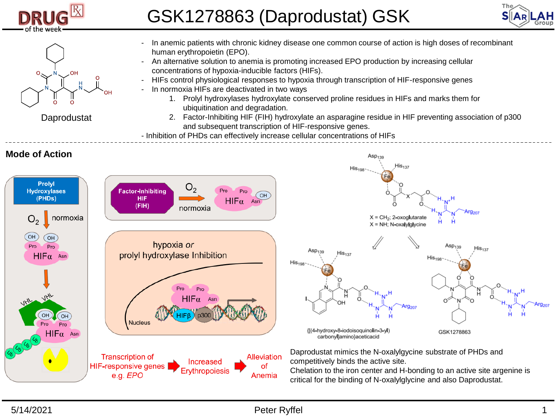

## GSK1278863 (Daprodustat) GSK